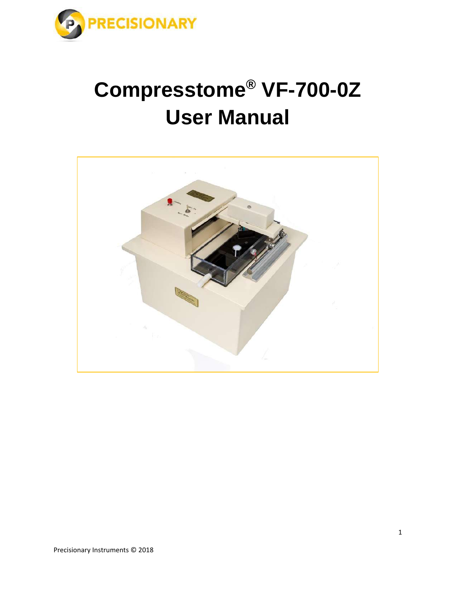

# **Compresstome® VF-700-0Z User Manual**

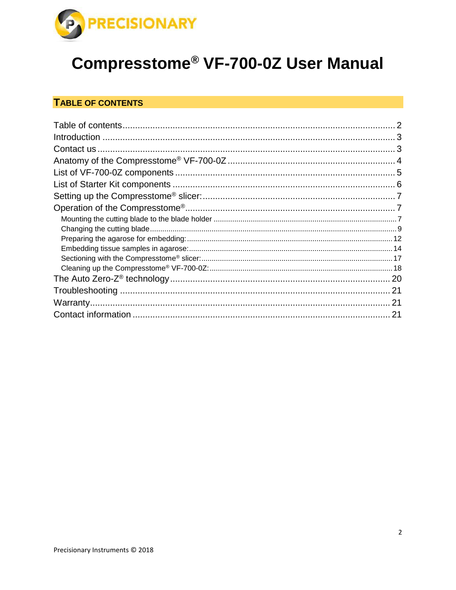

## **Compresstome<sup>®</sup> VF-700-0Z User Manual**

## TABLE OF CONTENTS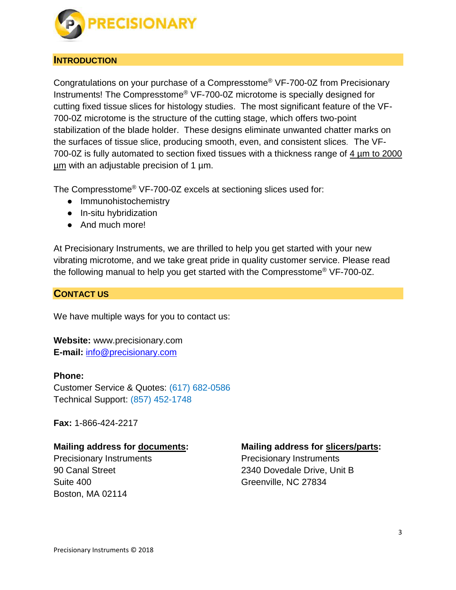

#### **INTRODUCTION**

Congratulations on your purchase of a Compresstome® VF-700-0Z from Precisionary Instruments! The Compresstome® VF-700-0Z microtome is specially designed for cutting fixed tissue slices for histology studies. The most significant feature of the VF-700-0Z microtome is the structure of the cutting stage, which offers two-point stabilization of the blade holder. These designs eliminate unwanted chatter marks on the surfaces of tissue slice, producing smooth, even, and consistent slices. The VF-700-0Z is fully automated to section fixed tissues with a thickness range of 4 µm to 2000  $\mu$ m with an adjustable precision of 1  $\mu$ m.

The Compresstome® VF-700-0Z excels at sectioning slices used for:

- Immunohistochemistry
- In-situ hybridization
- And much more!

At Precisionary Instruments, we are thrilled to help you get started with your new vibrating microtome, and we take great pride in quality customer service. Please read the following manual to help you get started with the Compresstome® VF-700-0Z.

#### **CONTACT US**

We have multiple ways for you to contact us:

**Website:** www.precisionary.com **E-mail:** [info@precisionary.com](mailto:info@precisionary.com)

#### **Phone:**

Customer Service & Quotes: (617) 682-0586 Technical Support: (857) 452-1748

**Fax:** 1-866-424-2217

#### **Mailing address for documents:**

Precisionary Instruments 90 Canal Street Suite 400 Boston, MA 02114

#### **Mailing address for slicers/parts:**

Precisionary Instruments 2340 Dovedale Drive, Unit B Greenville, NC 27834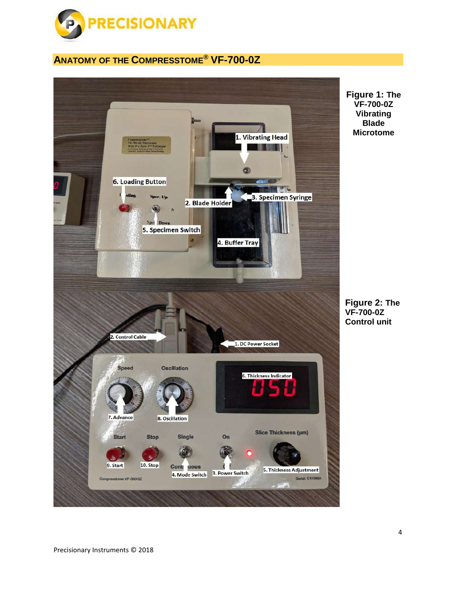

## **ANATOMY OF THE COMPRESSTOME® VF-700-0Z**

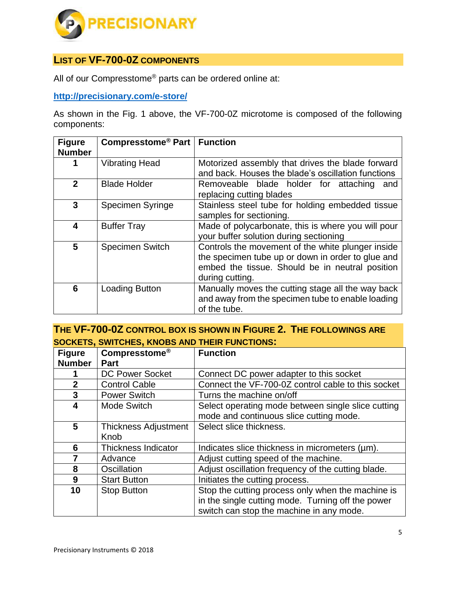

## **LIST OF VF-700-0Z COMPONENTS**

All of our Compresstome® parts can be ordered online at:

**<http://precisionary.com/e-store/>**

As shown in the Fig. 1 above, the VF-700-0Z microtome is composed of the following components:

| <b>Figure</b><br><b>Number</b> | Compresstome <sup>®</sup> Part   Function |                                                                                                                                                                              |
|--------------------------------|-------------------------------------------|------------------------------------------------------------------------------------------------------------------------------------------------------------------------------|
|                                | <b>Vibrating Head</b>                     | Motorized assembly that drives the blade forward<br>and back. Houses the blade's oscillation functions                                                                       |
| $\mathbf{2}$                   | <b>Blade Holder</b>                       | Removeable blade holder for attaching<br>and<br>replacing cutting blades                                                                                                     |
| $\overline{3}$                 | <b>Specimen Syringe</b>                   | Stainless steel tube for holding embedded tissue<br>samples for sectioning.                                                                                                  |
| 4                              | <b>Buffer Tray</b>                        | Made of polycarbonate, this is where you will pour<br>your buffer solution during sectioning                                                                                 |
| 5                              | <b>Specimen Switch</b>                    | Controls the movement of the white plunger inside<br>the specimen tube up or down in order to glue and<br>embed the tissue. Should be in neutral position<br>during cutting. |
| 6                              | <b>Loading Button</b>                     | Manually moves the cutting stage all the way back<br>and away from the specimen tube to enable loading<br>of the tube.                                                       |

**THE VF-700-0Z CONTROL BOX IS SHOWN IN FIGURE 2. THE FOLLOWINGS ARE SOCKETS, SWITCHES, KNOBS AND THEIR FUNCTIONS:**

| <b>Figure</b>  | <b>Compresstome®</b>        | <b>Function</b>                                    |
|----------------|-----------------------------|----------------------------------------------------|
| <b>Number</b>  | <b>Part</b>                 |                                                    |
|                | <b>DC Power Socket</b>      | Connect DC power adapter to this socket            |
| $\overline{2}$ | <b>Control Cable</b>        | Connect the VF-700-0Z control cable to this socket |
| 3              | <b>Power Switch</b>         | Turns the machine on/off                           |
| 4              | <b>Mode Switch</b>          | Select operating mode between single slice cutting |
|                |                             | mode and continuous slice cutting mode.            |
| 5              | <b>Thickness Adjustment</b> | Select slice thickness.                            |
|                | Knob                        |                                                    |
| 6              | Thickness Indicator         | Indicates slice thickness in micrometers (µm).     |
| 7              | Advance                     | Adjust cutting speed of the machine.               |
| 8              | Oscillation                 | Adjust oscillation frequency of the cutting blade. |
| 9              | <b>Start Button</b>         | Initiates the cutting process.                     |
| 10             | <b>Stop Button</b>          | Stop the cutting process only when the machine is  |
|                |                             | in the single cutting mode. Turning off the power  |
|                |                             | switch can stop the machine in any mode.           |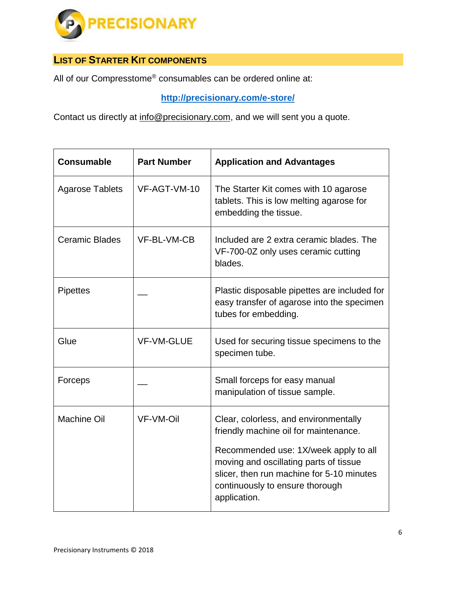

## **LIST OF STARTER KIT COMPONENTS**

All of our Compresstome® consumables can be ordered online at:

**<http://precisionary.com/e-store/>**

Contact us directly at [info@precisionary.com,](mailto:info@precisionary.com) and we will sent you a quote.

| <b>Consumable</b>      | <b>Part Number</b> | <b>Application and Advantages</b>                                                                                                                                                                                                                                 |
|------------------------|--------------------|-------------------------------------------------------------------------------------------------------------------------------------------------------------------------------------------------------------------------------------------------------------------|
| <b>Agarose Tablets</b> | VF-AGT-VM-10       | The Starter Kit comes with 10 agarose<br>tablets. This is low melting agarose for<br>embedding the tissue.                                                                                                                                                        |
| <b>Ceramic Blades</b>  | VF-BL-VM-CB        | Included are 2 extra ceramic blades. The<br>VF-700-0Z only uses ceramic cutting<br>blades.                                                                                                                                                                        |
| <b>Pipettes</b>        |                    | Plastic disposable pipettes are included for<br>easy transfer of agarose into the specimen<br>tubes for embedding.                                                                                                                                                |
| Glue                   | <b>VF-VM-GLUE</b>  | Used for securing tissue specimens to the<br>specimen tube.                                                                                                                                                                                                       |
| Forceps                |                    | Small forceps for easy manual<br>manipulation of tissue sample.                                                                                                                                                                                                   |
| <b>Machine Oil</b>     | <b>VF-VM-Oil</b>   | Clear, colorless, and environmentally<br>friendly machine oil for maintenance.<br>Recommended use: 1X/week apply to all<br>moving and oscillating parts of tissue<br>slicer, then run machine for 5-10 minutes<br>continuously to ensure thorough<br>application. |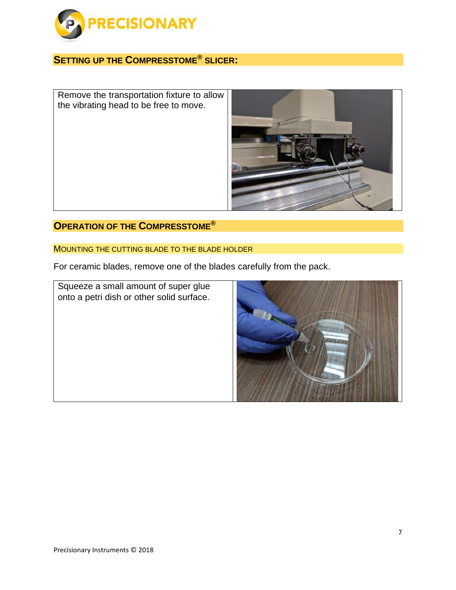

## **SETTING UP THE COMPRESSTOME® SLICER:**

Remove the transportation fixture to allow the vibrating head to be free to move.



## **OPERATION OF THE COMPRESSTOME®**

#### MOUNTING THE CUTTING BLADE TO THE BLADE HOLDER

For ceramic blades, remove one of the blades carefully from the pack.

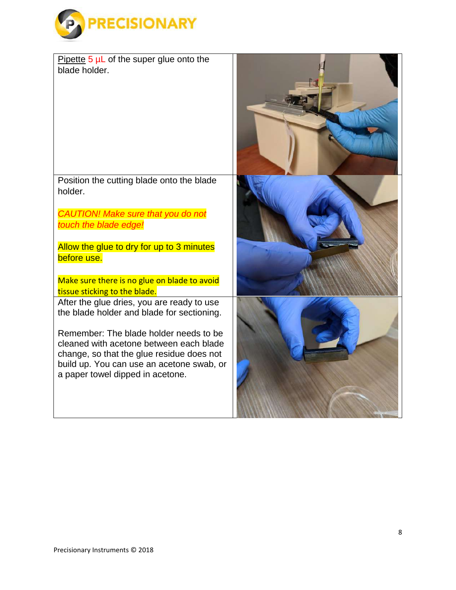

| Pipette 5 µL of the super glue onto the                                                  |  |
|------------------------------------------------------------------------------------------|--|
| blade holder.                                                                            |  |
|                                                                                          |  |
|                                                                                          |  |
|                                                                                          |  |
|                                                                                          |  |
|                                                                                          |  |
|                                                                                          |  |
|                                                                                          |  |
| Position the cutting blade onto the blade                                                |  |
| holder.                                                                                  |  |
|                                                                                          |  |
| <b>CAUTION! Make sure that you do not</b>                                                |  |
| touch the blade edge!                                                                    |  |
| Allow the glue to dry for up to 3 minutes                                                |  |
| before use.                                                                              |  |
|                                                                                          |  |
| Make sure there is no glue on blade to avoid                                             |  |
| tissue sticking to the blade.                                                            |  |
| After the glue dries, you are ready to use<br>the blade holder and blade for sectioning. |  |
|                                                                                          |  |
| Remember: The blade holder needs to be                                                   |  |
| cleaned with acetone between each blade                                                  |  |
| change, so that the glue residue does not<br>build up. You can use an acetone swab, or   |  |
| a paper towel dipped in acetone.                                                         |  |
|                                                                                          |  |
|                                                                                          |  |
|                                                                                          |  |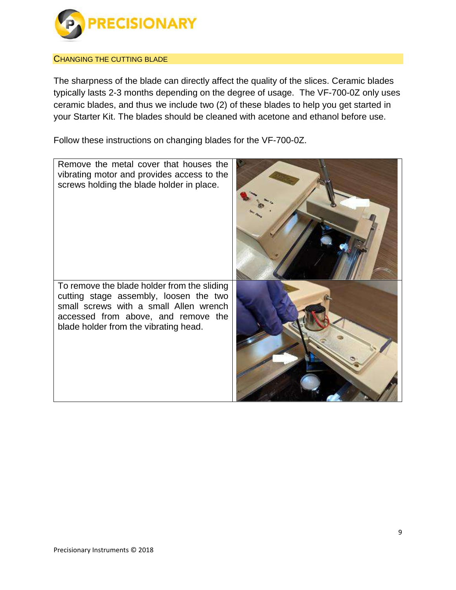

#### CHANGING THE CUTTING BLADE

The sharpness of the blade can directly affect the quality of the slices. Ceramic blades typically lasts 2-3 months depending on the degree of usage. The VF-700-0Z only uses ceramic blades, and thus we include two (2) of these blades to help you get started in your Starter Kit. The blades should be cleaned with acetone and ethanol before use.

Follow these instructions on changing blades for the VF-700-0Z.

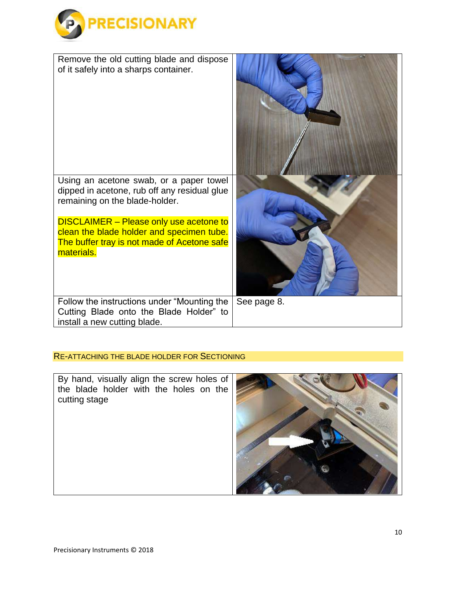

| Remove the old cutting blade and dispose<br>of it safely into a sharps container.                                                                        |             |
|----------------------------------------------------------------------------------------------------------------------------------------------------------|-------------|
| Using an acetone swab, or a paper towel<br>dipped in acetone, rub off any residual glue<br>remaining on the blade-holder.                                |             |
| <b>DISCLAIMER</b> - Please only use acetone to<br>clean the blade holder and specimen tube.<br>The buffer tray is not made of Acetone safe<br>materials. |             |
| Follow the instructions under "Mounting the<br>Cutting Blade onto the Blade Holder" to<br>install a new cutting blade.                                   | See page 8. |

#### RE-ATTACHING THE BLADE HOLDER FOR SECTIONING

By hand, visually align the screw holes of the blade holder with the holes on the cutting stage

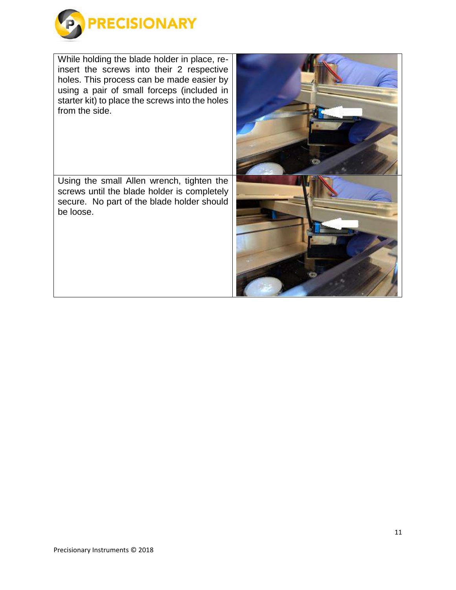

While holding the blade holder in place, reinsert the screws into their 2 respective holes. This process can be made easier by using a pair of small forceps (included in starter kit) to place the screws into the holes from the side.

Using the small Allen wrench, tighten the screws until the blade holder is completely secure. No part of the blade holder should be loose.

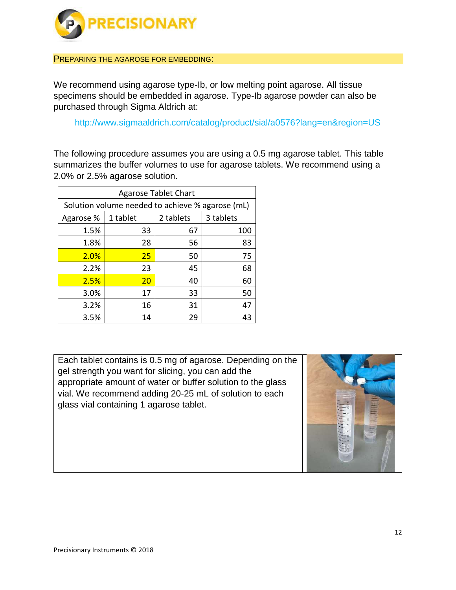

PREPARING THE AGAROSE FOR EMBEDDING:

We recommend using agarose type-Ib, or low melting point agarose. All tissue specimens should be embedded in agarose. Type-Ib agarose powder can also be purchased through Sigma Aldrich at:

http://www.sigmaaldrich.com/catalog/product/sial/a0576?lang=en&region=US

The following procedure assumes you are using a 0.5 mg agarose tablet. This table summarizes the buffer volumes to use for agarose tablets. We recommend using a 2.0% or 2.5% agarose solution.

| <b>Agarose Tablet Chart</b> |                                                  |           |           |
|-----------------------------|--------------------------------------------------|-----------|-----------|
|                             | Solution volume needed to achieve % agarose (mL) |           |           |
| Agarose %                   | 1 tablet                                         | 2 tablets | 3 tablets |
| 1.5%                        | 33                                               | 67        | 100       |
| 1.8%                        | 28                                               | 56        | 83        |
| 2.0%                        | 25                                               | 50        | 75        |
| 2.2%                        | 23                                               | 45        | 68        |
| 2.5%                        | 20                                               | 40        | 60        |
| 3.0%                        | 17                                               | 33        | 50        |
| 3.2%                        | 16                                               | 31        | 47        |
| 3.5%                        | 14                                               | 29        | 43        |

Each tablet contains is 0.5 mg of agarose. Depending on the gel strength you want for slicing, you can add the appropriate amount of water or buffer solution to the glass vial. We recommend adding 20-25 mL of solution to each glass vial containing 1 agarose tablet.

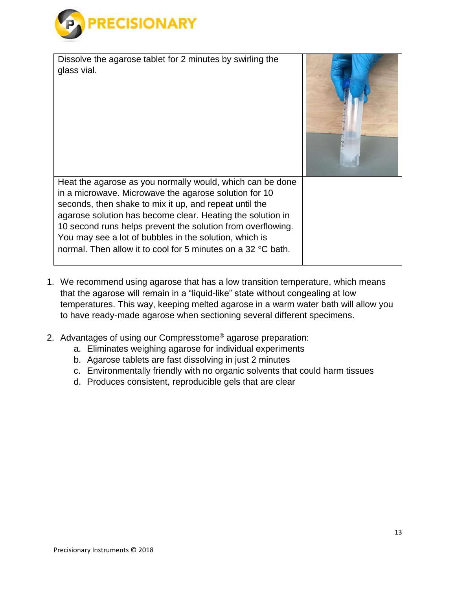

Dissolve the agarose tablet for 2 minutes by swirling the glass vial. Heat the agarose as you normally would, which can be done in a microwave. Microwave the agarose solution for 10 seconds, then shake to mix it up, and repeat until the agarose solution has become clear. Heating the solution in 10 second runs helps prevent the solution from overflowing. You may see a lot of bubbles in the solution, which is normal. Then allow it to cool for 5 minutes on a 32  $\degree$ C bath.

- 1. We recommend using agarose that has a low transition temperature, which means that the agarose will remain in a "liquid-like" state without congealing at low temperatures. This way, keeping melted agarose in a warm water bath will allow you to have ready-made agarose when sectioning several different specimens.
- 2. Advantages of using our Compresstome® agarose preparation:
	- a. Eliminates weighing agarose for individual experiments
	- b. Agarose tablets are fast dissolving in just 2 minutes
	- c. Environmentally friendly with no organic solvents that could harm tissues
	- d. Produces consistent, reproducible gels that are clear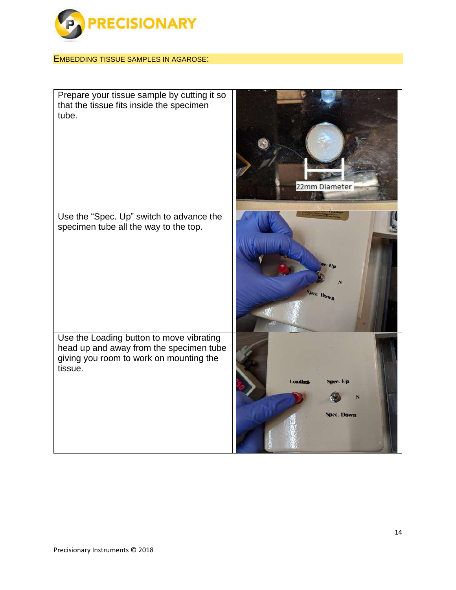

### EMBEDDING TISSUE SAMPLES IN AGAROSE:

| Prepare your tissue sample by cutting it so<br>that the tissue fits inside the specimen<br>tube.                                          | 22mm Diameter                                   |
|-------------------------------------------------------------------------------------------------------------------------------------------|-------------------------------------------------|
| Use the "Spec. Up" switch to advance the<br>specimen tube all the way to the top.                                                         | Spec. Down                                      |
| Use the Loading button to move vibrating<br>head up and away from the specimen tube<br>giving you room to work on mounting the<br>tissue. | <b>Loading</b><br>iner. Un<br><b>Spec. Down</b> |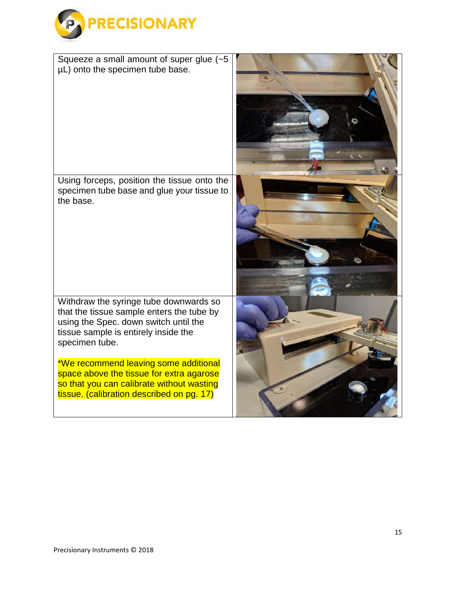

| Squeeze a small amount of super glue $(-5)$<br>µL) onto the specimen tube base.                                                                                                                                                                                                                                                                                       |  |
|-----------------------------------------------------------------------------------------------------------------------------------------------------------------------------------------------------------------------------------------------------------------------------------------------------------------------------------------------------------------------|--|
| Using forceps, position the tissue onto the<br>specimen tube base and glue your tissue to<br>the base.                                                                                                                                                                                                                                                                |  |
| Withdraw the syringe tube downwards so<br>that the tissue sample enters the tube by<br>using the Spec. down switch until the<br>tissue sample is entirely inside the<br>specimen tube.<br>*We recommend leaving some additional<br>space above the tissue for extra agarose<br>so that you can calibrate without wasting<br>tissue. (calibration described on pg. 17) |  |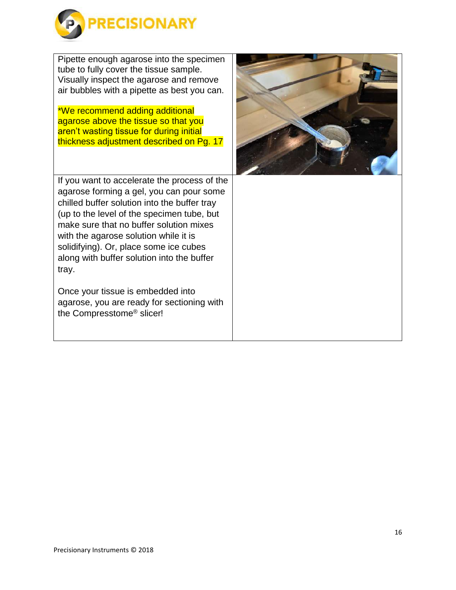

Pipette enough agarose into the specimen tube to fully cover the tissue sample. Visually inspect the agarose and remove air bubbles with a pipette as best you can.

\*We recommend adding additional agarose above the tissue so that you aren't wasting tissue for during initial thickness adjustment described on Pg. 17

If you want to accelerate the process of the agarose forming a gel, you can pour some chilled buffer solution into the buffer tray (up to the level of the specimen tube, but make sure that no buffer solution mixes with the agarose solution while it is solidifying). Or, place some ice cubes along with buffer solution into the buffer tray.

Once your tissue is embedded into agarose, you are ready for sectioning with the Compresstome® slicer!

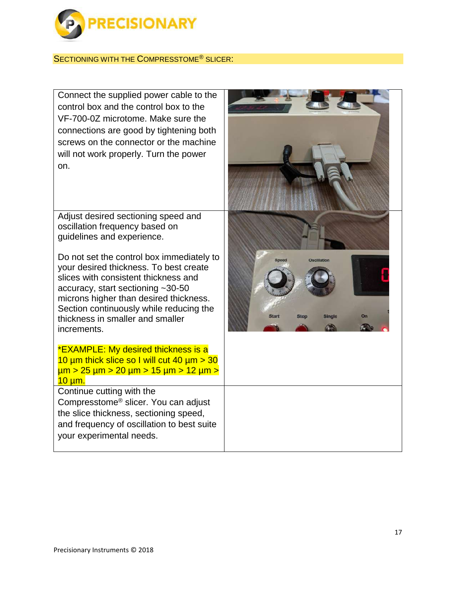

#### SECTIONING WITH THE COMPRESSTOME® SLICER:

Connect the supplied power cable to the control box and the control box to the VF-700-0Z microtome. Make sure the connections are good by tightening both screws on the connector or the machine will not work properly. Turn the power on.

Adjust desired sectioning speed and oscillation frequency based on guidelines and experience.

Do not set the control box immediately to your desired thickness. To best create slices with consistent thickness and accuracy, start sectioning ~30-50 microns higher than desired thickness. Section continuously while reducing the thickness in smaller and smaller increments.

\*EXAMPLE: My desired thickness is a 10  $\mu$ m thick slice so I will cut 40  $\mu$ m  $>$  30 µm > 25 µm > 20 µm > 15 µm > 12 µm > 10 µm. Continue cutting with the

Compresstome® slicer. You can adjust the slice thickness, sectioning speed, and frequency of oscillation to best suite your experimental needs.

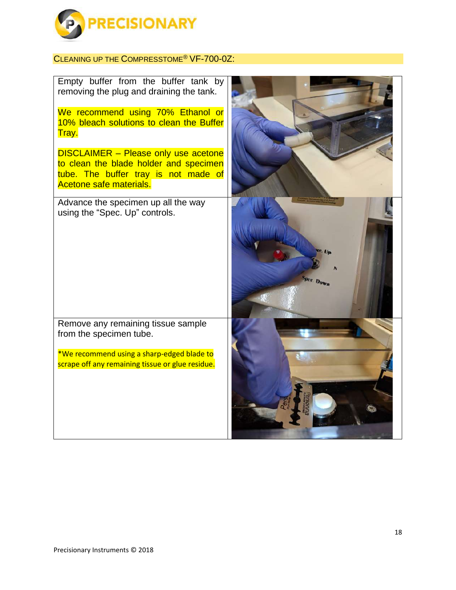

## CLEANING UP THE COMPRESSTOME® VF-700-0Z:

| <b>Spec. Down</b> |
|-------------------|
|                   |
|                   |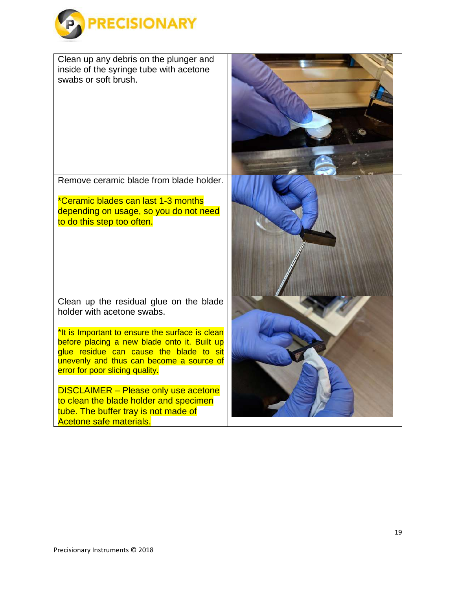

Clean up any debris on the plunger and inside of the syringe tube with acetone swabs or soft brush.

Remove ceramic blade from blade holder.

\*Ceramic blades can last 1-3 months depending on usage, so you do not need to do this step too often.

Clean up the residual glue on the blade holder with acetone swabs.

\*It is Important to ensure the surface is clean before placing a new blade onto it. Built up glue residue can cause the blade to sit unevenly and thus can become a source of error for poor slicing quality.

DISCLAIMER – Please only use acetone to clean the blade holder and specimen tube. The buffer tray is not made of Acetone safe materials.

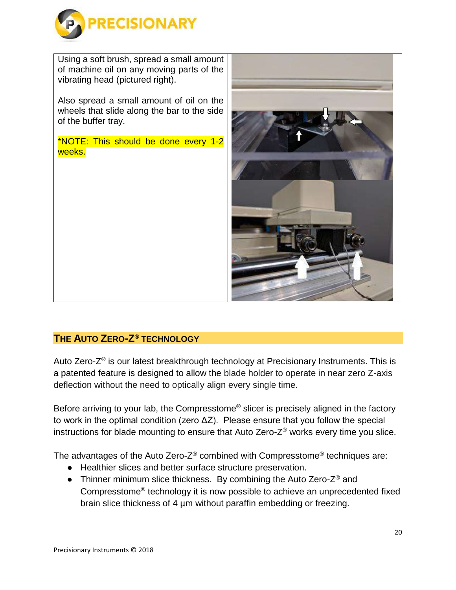

Using a soft brush, spread a small amount of machine oil on any moving parts of the vibrating head (pictured right).

Also spread a small amount of oil on the wheels that slide along the bar to the side of the buffer tray.

\*NOTE: This should be done every 1-2 weeks.



## **THE AUTO ZERO-Z® TECHNOLOGY**

Auto Zero-Z<sup>®</sup> is our latest breakthrough technology at Precisionary Instruments. This is a patented feature is designed to allow the blade holder to operate in near zero Z-axis deflection without the need to optically align every single time.

Before arriving to your lab, the Compresstome® slicer is precisely aligned in the factory to work in the optimal condition (zero ΔZ). Please ensure that you follow the special instructions for blade mounting to ensure that Auto Zero-Z® works every time you slice.

The advantages of the Auto Zero-Z® combined with Compresstome® techniques are:

- Healthier slices and better surface structure preservation.
- Thinner minimum slice thickness. By combining the Auto Zero- $Z^{\circledast}$  and Compresstome® technology it is now possible to achieve an unprecedented fixed brain slice thickness of 4 µm without paraffin embedding or freezing.